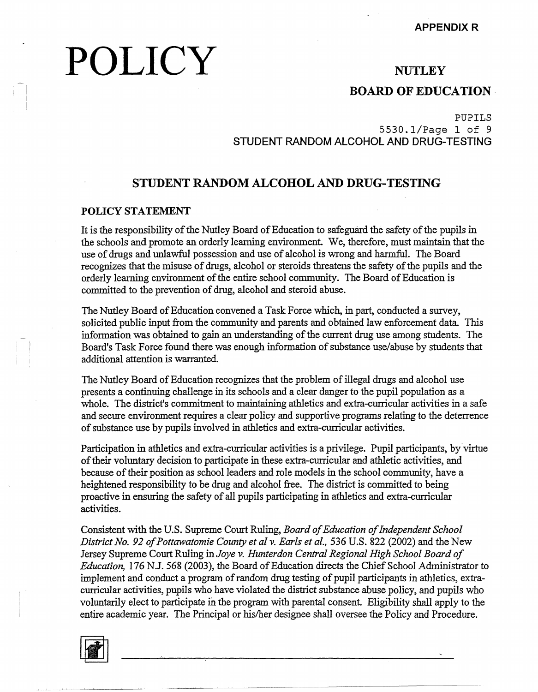# **POLICY**

## **NUTLEY**

## **BOARD OF EDUCATION**

PUPILS

5530.1/Page 1 of 9 **STUDENT RANDOM ALCOHOL AND DRUG-TESTING** 

## **STUDENT RANDOM ALCOHOL AND DRUG-TESTING**

### **POLICY STATEMENT**

It is the responsibility of the Nutley Board of Education to safeguard the safety of the pupils in the schools and promote an orderly learning environment. We, therefore, must maintain that the use of drugs and unlawful possession and use of alcohol is wrong and harmful. The Board recognizes that the misuse of drugs, alcohol or steroids threatens the safety of the pupils and the orderly learning environment of the entire school community. The Board of Education is committed to the prevention of drug, alcohol and steroid abuse.

The Nutley Board of Education convened a Task Force which, in part, conducted a survey, solicited public input from the community and parents and obtained law enforcement data. This information was obtained to gain an understanding of the current drug use among students. The Board's Task Force found there was enough information of substance use/abuse by students that additional attention is warranted.

The Nutley Board of Education recognizes that the problem of illegal drugs and alcohol use presents a continuing challenge in its schools and a clear danger to the pupil population as a whole. The district's commitment to maintaining athletics and extra-curricular activities in a safe and secure environment requires a clear policy and supportive programs relating to the deterrence of substance use by pupils involved in athletics and extra-curricular activities.

Participation in athletics and extra-curricular activities is a privilege. Pupil participants, by virtue of their voluntary decision to participate in these extra-curricular and athletic activities, and because of their position as school leaders and role models in the school community, have a heightened responsibility to be drug and alcohol free. The district is committed to being proactive in ensuring the safety of all pupils participating in athletics and extra-curricular activities.

Consistent with the U.S. Supreme Court Ruling, *Board of Education of Independent School District No. 92 of Pottawatomie County et al v. Earls et al.,* 536 U.S. 822 (2002) and the New Jersey Supreme Court Ruling in *Joye v. Hunterdon Central Regional High School Board of Education,* 176 N.J. 568 (2003), the Board of Education directs the Chief School Administrator to implement and conduct a program of random drug testing of pupil participants in athletics, extracurricular activities, pupils who have violated the district substance abuse policy, and pupils who voluntarily elect to participate in the program with parental consent. Eligibility shall apply to the entire academic year. The Principal or his/her designee shall oversee the Policy and Procedure.

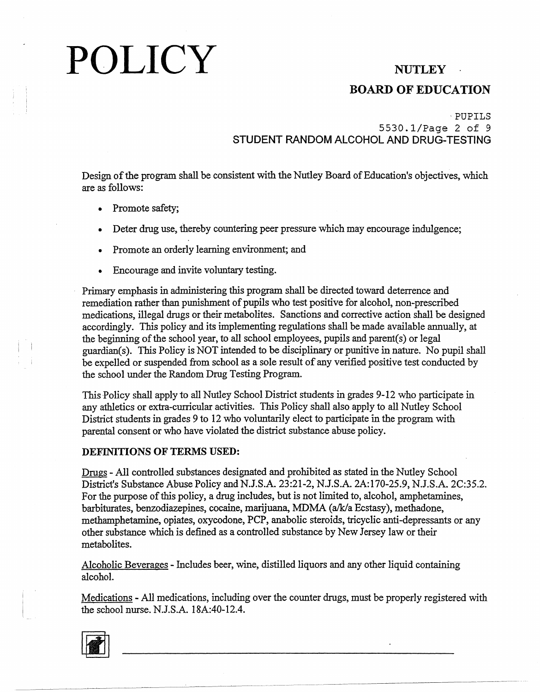## BOARD OF EDUCATION

## ·PUPILS 5530.1/Page 2 of 9 **STUDENT RANDOM ALCOHOL AND DRUG-TESTING**

Design of the program shall be consistent with the Nutley Board of Education's objectives, which are as follows:

- Promote safety;
- Deter drug use, thereby countering peer pressure which may encourage indulgence;
- Promote an orderly learning environment; and
- Encourage and invite voluntary testing.

Primary emphasis in administering this program shall be directed toward deterrence and remediation rather than punishment of pupils who test positive for alcohol, non-prescribed medications, illegal drugs or their metabolites. Sanctions and corrective action shall be designed accordingly. This policy and its implementing regulations shall be made available annually, at the beginning of the school year, to all school employees, pupils and parent(s) or legal guardian(s). This Policy is NOT intended to be disciplinary or punitive in nature. No pupil shall be expelled or suspended from school as a sole result of any verified positive test conducted by the school under the Random Drug Testing Program.

This Policy shall apply to all Nutley School District students in grades 9-12 who participate in any athletics or extra-curricular activities. This Policy shall also apply to all Nutley School District students in grades 9 to 12 who voluntarily elect to participate in the program with parental consent or who have violated the district substance abuse policy.

### **DEFINITIONS OF TERMS USED:**

Drugs - All controlled substances designated and prohibited as stated in the Nutley School District's Substance Abuse Policy and N.J.S.A. 23:21-2, N.J.S.A. 2A:170-25.9, N.J.S.A. 2C:35.2. For the purpose of this policy, a drug includes, but is not limited to, alcohol, amphetamines, barbiturates, benzodiazepines, cocaine, marijuana, MDMA (a/k/a Ecstasy), methadone, methamphetamine, opiates, oxycodone, PCP, anabolic steroids, tricyclic anti-depressants or any other substance which is defined as a controlled substance by New Jersey law or their metabolites.

Alcoholic Beverages - Includes beer, wine, distilled liquors and any other liquid containing alcohol.

Medications - All medications, including over the counter drugs, must be properly registered with the school nurse. N.J.S.A. 18A:40-12.4.

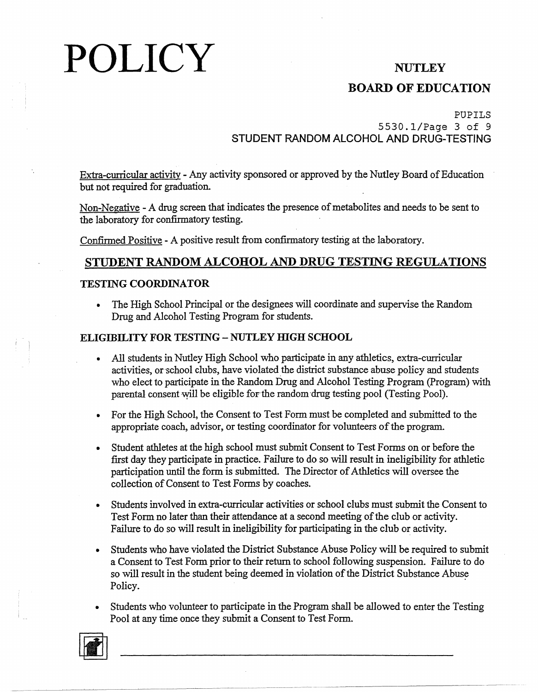## **BOARD OF EDUCATION**

## PUPILS 5530.1/Page 3 of 9 **STUDENT RANDOM ALCOHOL AND DRUG-TESTING**

Extra-curriculax activity - Any activity sponsored or approved by the Nutley Board of Education but not required for graduation.

Non-Negative -A drug screen that indicates the presence of metabolites and needs to be sent to the laboratory for confirmatory testing.

Confirmed Positive - A positive result from confirmatory testing at the laboratory.

## **STUDENT RANDOM ALCOHOL AND DRUG TESTING REGULATIONS**

## **TESTJNG COORDJNATOR**

• The High School Principal or the designees will coordinate and supervise the Random Drug and Alcohol Testing Program for students.

## **ELIGIBILITY FOR TESTING - NUTLEY HIGH SCHOOL**

- All students in Nutley High School who participate in any athletics, extra-curricular activities, or school clubs, have violated the district substance abuse policy and students who elect to participate in the Random Drug and Alcohol Testing Program (Program) with parental consent will be eligible for the random drug testing pool (Testing Pool).
- For the High School, the Consent to Test Form must be completed and submitted to the appropriate coach, advisor, or testing coordinator for volunteers of the program.
- Student athletes at the high school must submit Consent to Test Forms on or before the first day they participate in practice. Failure to do so will result in ineligibility for athletic participation until the form is submitted. The Director of Athletics will oversee the collection of Consent to Test Forms by coaches.
- Students involved in extra-curricular activities or school clubs must submit the Consent to Test Form no later than their attendance at a second meeting of the club or activity. Failure to do so will result in ineligibility for participating in the club or activity.
- Students who have violated the District Substance Abuse Policy will be required to submit a Consent to Test Form prior to their return to school following suspension. Failure to do so will result in the student being deemed in violation of the District Substance Abuse Policy.
- Students who volunteer to participate in the Program shall be allowed to enter the Testing Pool at any time once they submit a Consent to Test Form.

-~~---~~ -----~---~---- ~--------------

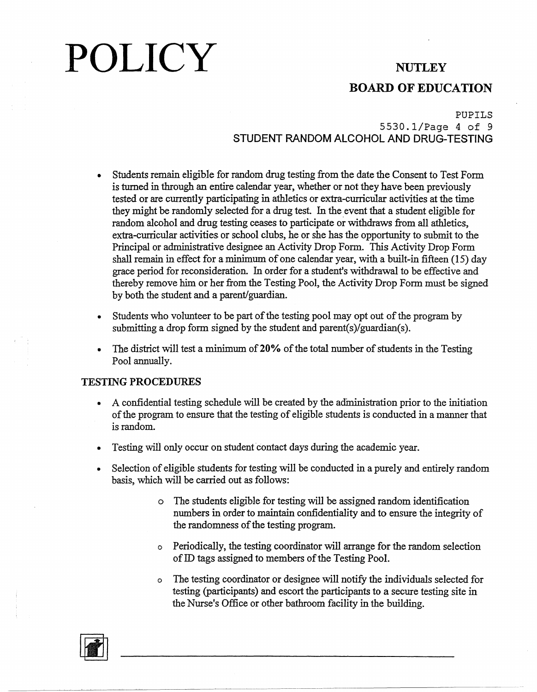## **BOARD OF EDUCATION**

## PUPILS

## 5530.1/Page 4 of 9 **STUDENT RANDOM ALCOHOL AND DRUG-TESTING**

- Students remain eligible for random drug testing from the date the Consent to Test Form is turned in through an entire calendar year, whether or not they have been previously tested or are currently participating in athletics or extra-curricular activities at the time they might be randomly selected for a drug test. In the event that a student eligible for random alcohol and drug testing ceases to participate or withdraws from all athletics, extra-curricular activities or school clubs, he or she has the opportunity to submit to the Principal or administrative designee an Activity Drop Form. This Activity Drop Form shall remain in effect for a minimum of one calendar year, with a built-in fifteen (15) day grace period for reconsideration. In order for a student's withdrawal to be effective and thereby remove him or her from the Testing Pool, the Activity Drop Form must be signed by both the student and a parent/guardian.
- Students who volunteer to be part of the testing pool may opt out of the program by submitting a drop form signed by the student and parent(s)/guardian(s).
- The district will test a minimum **of20%** of the total number of students in the Testing Pool annually.

### **TESTING PROCEDURES**

- A confidential testing schedule will be created by the administration prior to the initiation of the program to ensure that the testing of eligible students is conducted in a manner that is random.
- Testing will only occur on student contact days during the academic year.
- Selection of eligible students for testing will be conducted in a purely and entirely random basis, which will be carried out as follows:

-----------~----~-------------~

- o The students eligible for testing will be assigned random identification numbers in order to maintain confidentiality and to ensure the integrity of the randomness of the testing program.
- o Periodically, the testing coordinator will arrange for the random selection of ID tags assigned to members of the Testing Pool.
- o The testing coordinator or designee will notify the individuals selected for testing (participants) and escort the participants to a secure testing site in the Nurse's Office or other bathroom facility in the building.

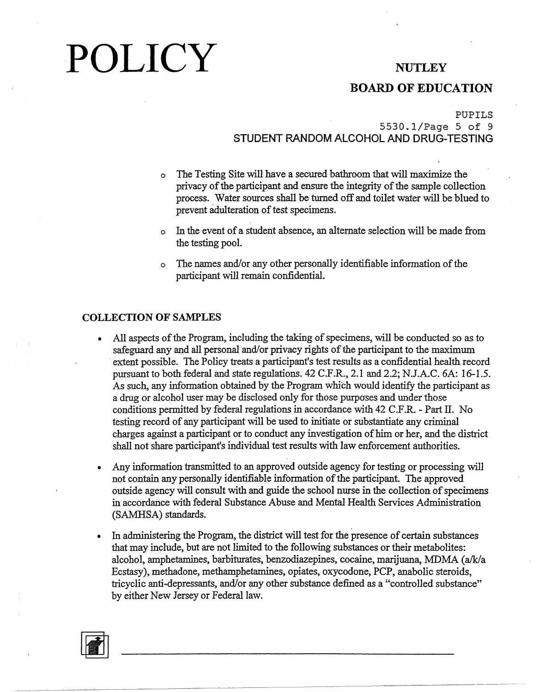## **BOARD OF EDUCATION**

### PUPILS

## 5530.1/Page 5 of 9 **STUDENT RANDOM ALCOHOL AND DRUG-TESTING**

- The Testing Site will have a secured bathroom that will maximize the privacy of the participant and ensure the integrity of the sample collection process. Water sources shall be turned off and toilet water will be blued to prevent adulteration of test specimens.
- o In the event of a student absence, an alternate selection will be made from the testing pool.
- o The names and/or any other personally identifiable information of the participant will remain confidential.

### **COLLECTION OF SAMPLES**

- All aspects of the Program, including the taking of specimens, will be conducted so as to safeguard any and all personal and/or privacy rights of the participant to the maximum extent possible. The Policy treats a participant's test results as a confidential health record pursuant to both federal and state regulations. 42 C.F.R., 2.1 and 2.2; N.J.A.C. 6A: 16-1.5. As such, any information obtained by the Program which would identify the participant as a drug or alcohol user may be disclosed only for those purposes and under those conditions permitted by federal regulations in accordance with 42 C.F.R. - Part II. No testing record of any participant will be used to initiate or substantiate any criminal charges against a participant or to conduct any investigation of him or her, and the district shall not share participant's individual test results with law enforcement authorities.
- Any information transmitted to an approved outside agency for testing or processing will not contain any personally identifiable information of the participant. The approved outside agency will consult with and guide the school nurse in the collection of specimens in accordance with federal Substance Abuse and Mental Health Services Administration (SAMHSA) standards.
- In administering the Program, the district will test for the presence of certain substances that may include, but are not limited to the following substances or their metabolites: alcohol, amphetamines, barbiturates, benzodiazepines, cocaine, marijuana, 1\IDMA (a/k/a Ecstasy), methadone, methamphetamines, opiates, oxycodone, PCP, anabolic steroids, tricyclic anti-depressants, and/or any other substance defined as a "controlled substance" by either New Jersey or Federal law.

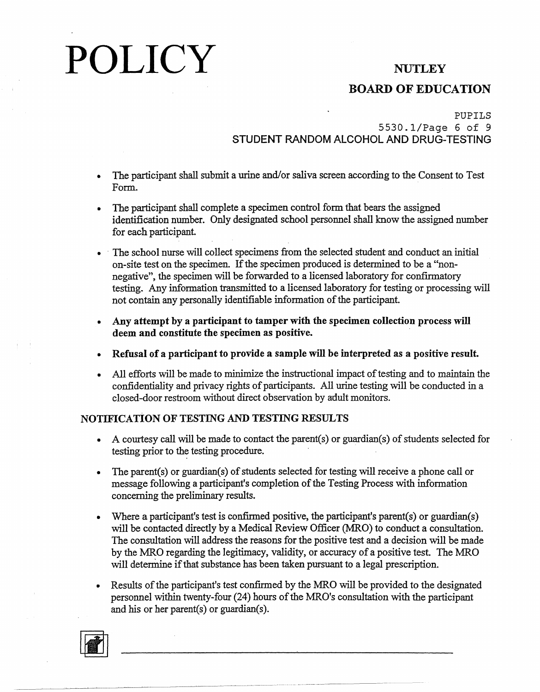## **BOARD OF EDUCATION**

## PUPILS 5530.1/Page 6 of 9 **STUDENT RANDOM ALCOHOL AND DRUG-TESTING**

- The participant shall submit a urine and/or saliva screen according to the Consent to Test Form.
- The participant shall complete a specimen control form that bears the assigned identification number. Only designated school personnel shall know the assigned number for each participant
- · The school nurse will collect specimens from the selected student and conduct an initial on-site test on the specimen. If the specimen produced is determined to be a "nonnegative", the specimen will be forwarded to a licensed laboratory for confirmatory testing. Any information transmitted to a licensed laboratory for testing or processing will not contain any personally identifiable information of the participant.
- **Any attempt by a participant to tamper with the specimen collection process will deem and constitute the specimen as positive.**
- **Refusal of a participant to provide a sample will be interpreted as a positive result.**
- All efforts will be made to minimize the instructional impact of testing and to maintain the confidentiality and privacy rights of participants. All urine testing will be conducted in a closed-door restroom without direct observation by adult monitors.

## **NOTIFICATiON OF TESTING AND TESTING RESULTS**

- A courtesy call will be made to contact the parent(s) or guardian(s) of students selected for testing prior to the testing procedure.
- The parent(s) or guardian(s) of students selected for testing will receive a phone call or message following a participant's completion of the Testing Process with information concerning the preliminary results.
- Where a participant's test is confirmed positive, the participant's parent(s) or guardian(s) will be contacted directly by a Medical Review Officer (MRO) to conduct a consultation. The consultation will address the reasons for the positive test and a decision will be made by the MRO regarding the legitimacy, validity, or accuracy of a positive test. The MRO will determine if that substance has been taken pursuant to a legal prescription.
- Results of the participant's test confirmed by the MRO will be provided to the designated personnel within twenty-four (24) hours of the MRO's consultation with the participant and his or her parent(s) or guardian(s).

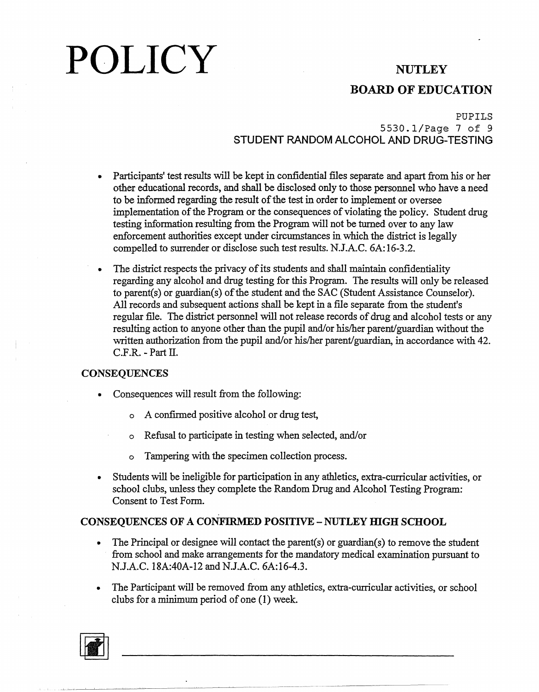## **BOARD OF EDUCATION**

## PUPILS 5530.1/Page 7 of 9 STUDENT RANDOM ALCOHOL AND DRUG-TESTING

- Participants' test results will be kept in confidential files separate and apart from his or her other educational records, and shall be disclosed only to those personnel who have a need to be informed regarding the result of the test in order to implement or oversee implementation of the Program or the consequences of violating the policy. Student drug testing information resulting from the Program will not be turned over to any law enforcement authorities except under circumstances in which the district is legally compelled to surrender or disclose such test results. N.J.A.C. 6A: 16-3.2.
- The district respects the privacy of its students and shall maintain confidentiality regarding any alcohol and drug testing for this Program. The results will only be released to parent(s) or guardian(s) of the student and the SAC (Student Assistance Counselor). All records and subsequent actions shall be kept in a file separate from the student's regular file. The district personnel will not release records of drug and alcohol tests or any resulting action to anyone other than the pupil and/or his/her parent/guardian without the written authorization from the pupil and/or his/her parent/guardian, in accordance with 42. C.F.R. - Part II.

## **CONSEQUENCES**

- Consequences will result from the following:
	- o A confirmed positive alcohol or drug test,
	- o Refusal to participate in testing when selected, and/or
	- o Tampering with the specimen collection process.
- Students will be ineligible for participation in any athletics, extra-curricular activities, or school clubs, unless they complete the Random Drug and Alcohol Testing Program: Consent to Test Form.

## **CONSEQUENCES OF A CONFIRMED POSITIVE - NUTLEY HIGH SCHOOL**

- The Principal or designee will contact the parent(s) or guardian(s) to remove the student from school and make arrangements for the mandatory medical examination pursuant to N.J.A.C. 18A:40A-12 and N.J.A.C. 6A:16-4.3.
- The Participant will be removed from any athletics, extra-curricular activities, or school clubs for a minimum period of one (I) week.

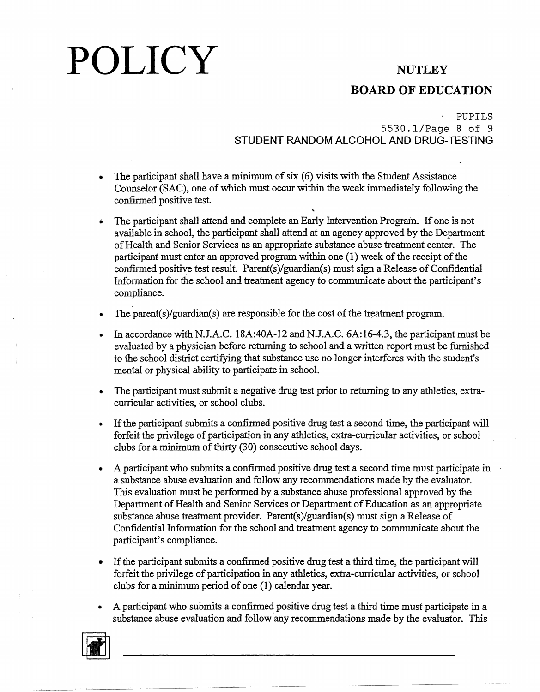## **BOARD OF EDUCATION**

## PUPILS 5530.1/Page 8 of 9 **STUDENT RANDOM ALCOHOL AND DRUG-TESTING**

- The participant shall have a minimum of six (6) visits with the Student Assistance Counselor (SAC), one of which must occur within the week immediately following the confirmed positive test.
- The participant shall attend and complete an Early Intervention Program. If one is not available in school, the participant shall attend at an agency approved by the Department of Health and Senior Services as an appropriate substance abuse treatment center. The participant must enter an approved program within one (1) week of the receipt of the confirmed positive test result. Parent(s)/guardian(s) must sign a Release of Confidential Information for the school and treatment agency to communicate about the participant's compliance.
- The parent(s)/guardian(s) are responsible for the cost of the treatment program.
- In accordance with N.J.A.C. 18A:40A-12 and N.J.A.C. 6A:16-4.3, the participant must be evaluated by a physician before returning to school and a written report must be furnished to the school district certifying that substance use no longer interferes with the student's mental or physical ability to participate in school.
- The participant must submit a negative drug test prior to returning to any athletics, extracurricular activities, or school clubs.
- If the participant submits a confirmed positive drug test a second time, the participant will forfeit the privilege of participation in any athletics, extra-curricular activities, or school clubs for a minimum of thirty (30) consecutive school days.
- A participant who submits a confirmed positive drug test a second time must participate in a substance abuse evaluation and follow any recommendations made by the evaluator. This evaluation must be performed by a substance abuse professional approved by the Department of Health and Senior Services or Department of Education as an appropriate substance abuse treatment provider. Parent(s)/guardian(s) must sign a Release of Confidential Information for the school and treatment agency to communicate about the participant's compliance.
- If the participant submits a confirmed positive drug test a third time, the participant will forfeit the privilege of participation in any athletics, extra-curricular activities, or school clubs for a minimum period of one (1) calendar year.
- A participant who submits a confirmed positive drug test a third time must participate in a substance abuse evaluation and follow any recommendations made by the evaluator. This